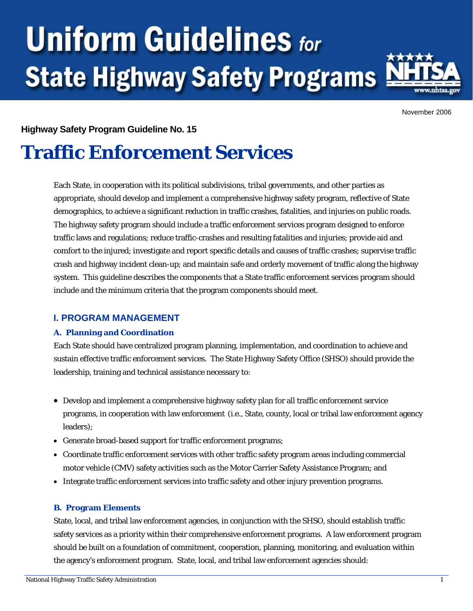# **Uniform Guidelines for State Highway Safety Programs**



November 2006

# **Highway Safety Program Guideline No. 15**

# **Traffic Enforcement Services**

Each State, in cooperation with its political subdivisions, tribal governments, and other parties as appropriate, should develop and implement a comprehensive highway safety program, reflective of State demographics, to achieve a significant reduction in traffic crashes, fatalities, and injuries on public roads. The highway safety program should include a traffic enforcement services program designed to enforce traffic laws and regulations; reduce traffic-crashes and resulting fatalities and injuries; provide aid and comfort to the injured; investigate and report specific details and causes of traffic crashes; supervise traffic crash and highway incident clean-up; and maintain safe and orderly movement of traffic along the highway system. This guideline describes the components that a State traffic enforcement services program should include and the minimum criteria that the program components should meet.

# **I. PROGRAM MANAGEMENT**

#### **A. Planning and Coordination**

Each State should have centralized program planning, implementation, and coordination to achieve and sustain effective traffic enforcement services. The State Highway Safety Office (SHSO) should provide the leadership, training and technical assistance necessary to:

- Develop and implement a comprehensive highway safety plan for all traffic enforcement service programs, in cooperation with law enforcement (i.e., State, county, local or tribal law enforcement agency leaders);
- Generate broad-based support for traffic enforcement programs;
- Coordinate traffic enforcement services with other traffic safety program areas including commercial motor vehicle (CMV) safety activities such as the Motor Carrier Safety Assistance Program; and
- Integrate traffic enforcement services into traffic safety and other injury prevention programs.

#### **B. Program Elements**

State, local, and tribal law enforcement agencies, in conjunction with the SHSO, should establish traffic safety services as a priority within their comprehensive enforcement programs. A law enforcement program should be built on a foundation of commitment, cooperation, planning, monitoring, and evaluation within the agency's enforcement program. State, local, and tribal law enforcement agencies should: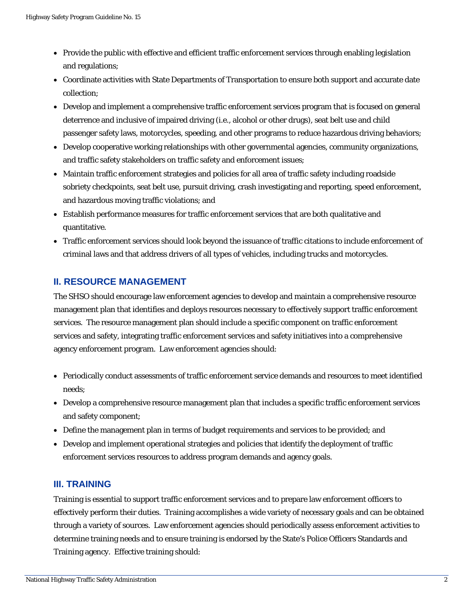- Provide the public with effective and efficient traffic enforcement services through enabling legislation and regulations;
- Coordinate activities with State Departments of Transportation to ensure both support and accurate date collection;
- Develop and implement a comprehensive traffic enforcement services program that is focused on general deterrence and inclusive of impaired driving (i.e., alcohol or other drugs), seat belt use and child passenger safety laws, motorcycles, speeding, and other programs to reduce hazardous driving behaviors;
- Develop cooperative working relationships with other governmental agencies, community organizations, and traffic safety stakeholders on traffic safety and enforcement issues;
- Maintain traffic enforcement strategies and policies for all area of traffic safety including roadside sobriety checkpoints, seat belt use, pursuit driving, crash investigating and reporting, speed enforcement, and hazardous moving traffic violations; and
- Establish performance measures for traffic enforcement services that are both qualitative and quantitative.
- Traffic enforcement services should look beyond the issuance of traffic citations to include enforcement of criminal laws and that address drivers of all types of vehicles, including trucks and motorcycles.

# **II. RESOURCE MANAGEMENT**

The SHSO should encourage law enforcement agencies to develop and maintain a comprehensive resource management plan that identifies and deploys resources necessary to effectively support traffic enforcement services. The resource management plan should include a specific component on traffic enforcement services and safety, integrating traffic enforcement services and safety initiatives into a comprehensive agency enforcement program. Law enforcement agencies should:

- Periodically conduct assessments of traffic enforcement service demands and resources to meet identified needs;
- Develop a comprehensive resource management plan that includes a specific traffic enforcement services and safety component;
- Define the management plan in terms of budget requirements and services to be provided; and
- Develop and implement operational strategies and policies that identify the deployment of traffic enforcement services resources to address program demands and agency goals.

# **III. TRAINING**

Training is essential to support traffic enforcement services and to prepare law enforcement officers to effectively perform their duties. Training accomplishes a wide variety of necessary goals and can be obtained through a variety of sources. Law enforcement agencies should periodically assess enforcement activities to determine training needs and to ensure training is endorsed by the State's Police Officers Standards and Training agency. Effective training should: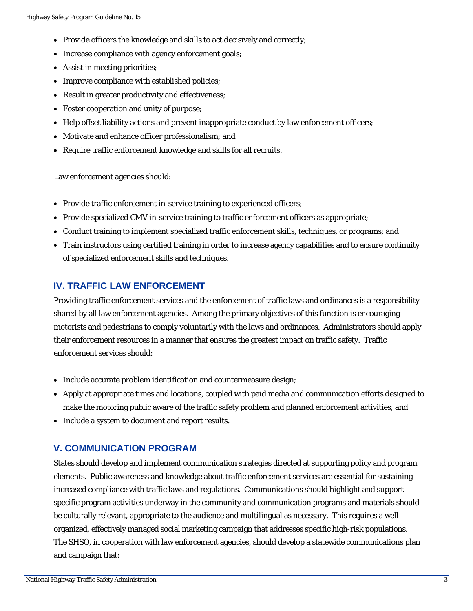- Provide officers the knowledge and skills to act decisively and correctly;
- Increase compliance with agency enforcement goals;
- Assist in meeting priorities;
- Improve compliance with established policies;
- Result in greater productivity and effectiveness;
- Foster cooperation and unity of purpose;
- Help offset liability actions and prevent inappropriate conduct by law enforcement officers;
- Motivate and enhance officer professionalism; and
- Require traffic enforcement knowledge and skills for all recruits.

Law enforcement agencies should:

- Provide traffic enforcement in-service training to experienced officers;
- Provide specialized CMV in-service training to traffic enforcement officers as appropriate;
- Conduct training to implement specialized traffic enforcement skills, techniques, or programs; and
- Train instructors using certified training in order to increase agency capabilities and to ensure continuity of specialized enforcement skills and techniques.

### **IV. TRAFFIC LAW ENFORCEMENT**

Providing traffic enforcement services and the enforcement of traffic laws and ordinances is a responsibility shared by all law enforcement agencies. Among the primary objectives of this function is encouraging motorists and pedestrians to comply voluntarily with the laws and ordinances. Administrators should apply their enforcement resources in a manner that ensures the greatest impact on traffic safety. Traffic enforcement services should:

- Include accurate problem identification and countermeasure design;
- Apply at appropriate times and locations, coupled with paid media and communication efforts designed to make the motoring public aware of the traffic safety problem and planned enforcement activities; and
- Include a system to document and report results.

#### **V. COMMUNICATION PROGRAM**

States should develop and implement communication strategies directed at supporting policy and program elements. Public awareness and knowledge about traffic enforcement services are essential for sustaining increased compliance with traffic laws and regulations. Communications should highlight and support specific program activities underway in the community and communication programs and materials should be culturally relevant, appropriate to the audience and multilingual as necessary. This requires a wellorganized, effectively managed social marketing campaign that addresses specific high-risk populations. The SHSO, in cooperation with law enforcement agencies, should develop a statewide communications plan and campaign that: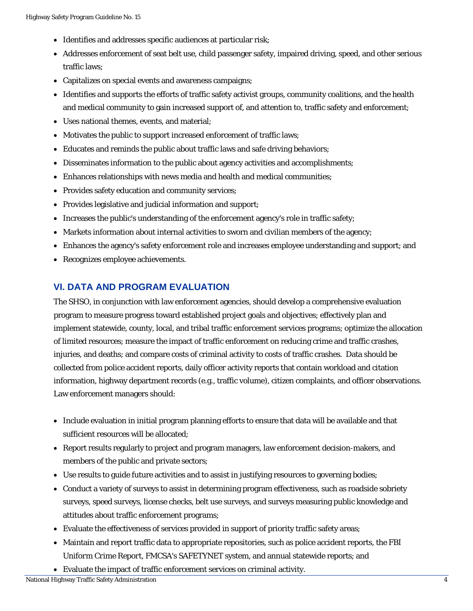- Identifies and addresses specific audiences at particular risk;
- Addresses enforcement of seat belt use, child passenger safety, impaired driving, speed, and other serious traffic laws;
- Capitalizes on special events and awareness campaigns;
- Identifies and supports the efforts of traffic safety activist groups, community coalitions, and the health and medical community to gain increased support of, and attention to, traffic safety and enforcement;
- Uses national themes, events, and material;
- Motivates the public to support increased enforcement of traffic laws;
- Educates and reminds the public about traffic laws and safe driving behaviors;
- Disseminates information to the public about agency activities and accomplishments;
- Enhances relationships with news media and health and medical communities;
- Provides safety education and community services;
- Provides legislative and judicial information and support;
- Increases the public's understanding of the enforcement agency's role in traffic safety;
- Markets information about internal activities to sworn and civilian members of the agency;
- Enhances the agency's safety enforcement role and increases employee understanding and support; and
- Recognizes employee achievements.

# **VI. DATA AND PROGRAM EVALUATION**

The SHSO, in conjunction with law enforcement agencies, should develop a comprehensive evaluation program to measure progress toward established project goals and objectives; effectively plan and implement statewide, county, local, and tribal traffic enforcement services programs; optimize the allocation of limited resources; measure the impact of traffic enforcement on reducing crime and traffic crashes, injuries, and deaths; and compare costs of criminal activity to costs of traffic crashes. Data should be collected from police accident reports, daily officer activity reports that contain workload and citation information, highway department records (e.g., traffic volume), citizen complaints, and officer observations. Law enforcement managers should:

- Include evaluation in initial program planning efforts to ensure that data will be available and that sufficient resources will be allocated;
- Report results regularly to project and program managers, law enforcement decision-makers, and members of the public and private sectors;
- Use results to guide future activities and to assist in justifying resources to governing bodies;
- Conduct a variety of surveys to assist in determining program effectiveness, such as roadside sobriety surveys, speed surveys, license checks, belt use surveys, and surveys measuring public knowledge and attitudes about traffic enforcement programs;
- Evaluate the effectiveness of services provided in support of priority traffic safety areas;
- Maintain and report traffic data to appropriate repositories, such as police accident reports, the FBI *Uniform Crime Report*, FMCSA's SAFETYNET system, and annual statewide reports; and
- Evaluate the impact of traffic enforcement services on criminal activity.